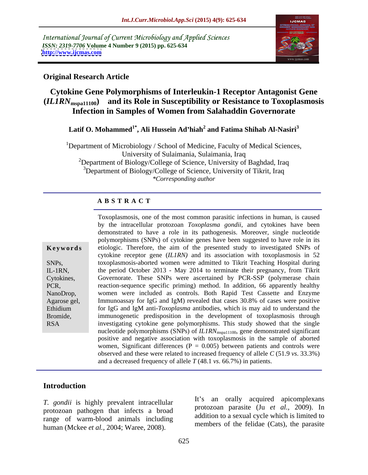International Journal of Current Microbiology and Applied Sciences *ISSN: 2319-7706* **Volume 4 Number 9 (2015) pp. 625-634 <http://www.ijcmas.com>**



### **Original Research Article**

# **Cytokine Gene Polymorphisms of Interleukin-1 Receptor Antagonist Gene (***IL1RN***mspa11100) and its Role in Susceptibility or Resistance to Toxoplasmosis Infection in Samples of Women from Salahaddin Governorate**

### **Latif O. Mohammed1\* , Ali Hussein Ad hiah 2 and Fatima Shihab Al-Nasiri<sup>3</sup>**

<sup>1</sup>Department of Microbiology / School of Medicine, Faculty of Medical Sciences, University of Sulaimania, Sulaimania, Iraq <sup>2</sup>Department of Biology/College of Science, University of Baghdad, Iraq <sup>3</sup>Department of Biology/College of Science, University of Tikrit, Iraq *\*Corresponding author*

#### **A B S T R A C T**

| Keywords                                                                                                  |
|-----------------------------------------------------------------------------------------------------------|
| SNPs,<br>IL-1RN,<br>Cytokines,<br>PCR,<br>NanoDrop,<br>Agarose gel,<br>Ethidium<br>Bromide,<br><b>RSA</b> |
|                                                                                                           |

Toxoplasmosis, one of the most common parasitic infections in human, is caused by the intracellular protozoan *Toxoplasma gondii*, and cytokines have been demonstrated to have a role in its pathogenesis. Moreover, single nucleotide polymorphisms (SNPs) of cytokine genes have been suggested to have role in its **Keywords** etiologic. Therefore, the aim of the presented study to investigated SNPs of cytokine receptor gene (*IL1RN)* and its association with toxoplasmosis in 52 toxoplasmosis-aborted women were admitted to Tikrit Teaching Hospital during SNPs, the period October 2013 - May 2014 to terminate their pregnancy, from Tikrit IL-1RN, Governorate. These SNPs were ascertained by PCR-SSP (polymerase chain Cytokines, reaction-sequence specific priming) method. In addition, 66 apparently healthy PCR, women were included as controls. Both Rapid Test Cassette and Enzyme NanoDrop, Agarose gel, Immunoassay for IgG and IgM) revealed that cases 30.8% of cases were positive Ethidium for IgG and IgM anti-*Toxoplasma* antibodies, which is may aid to understand the immunogenetic predisposition in the development of toxoplasmosis through Bromide, investigating cytokine gene polymorphisms. This study showed that the single nucleotide polymorphisms (SNPs) of *IL1RN*<sub>mspa11100</sub>, gene demonstrated significant positive and negative association with toxoplasmosis in the sample of aborted women, Significant differences ( $P = 0.005$ ) between patients and controls were observed and these were related to increased frequency of allele *C* (51.9 *vs*. 33.3%) and a decreased frequency of allele *T* (48.1 *vs*. 66.7%) in patients.

# **Introduction**

*T. gondii* is highly prevalent intracellular protozoan pathogen that infects a broad range of warm-blood animals including human (Mckee *et al.,* 2004; Waree, 2008).

It's an orally acquired apicomplexans protozoan parasite (Ju *et al.,* 2009). In addition to a sexual cycle which is limited to members of the felidae (Cats), the parasite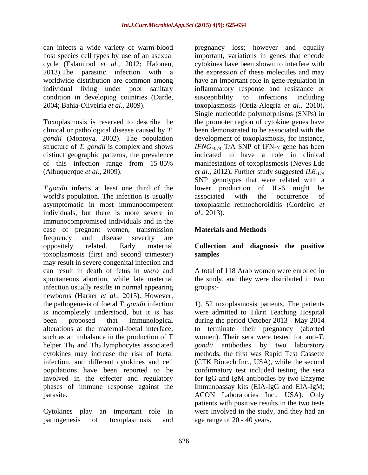can infects a wide variety of warm-blood pregnancy loss; however and equally individual living under poor sanitary condition in developing countries (Darde, susceptibility to infections including

clinical or pathological disease caused by *T.*

*T.gondii* infects at least one third of the lower production of IL-6 might be world's population. The infection is usually associated with the occurrence of asymptomatic in most immunocompetent toxoplasmic retinochoroiditis (Cordeiro *et*  individuals, but there is more severe in al., 2013). immunocompromised individuals and in the case of pregnant women, transmission **Materials and Methods** frequency and disease severity are oppositely related. Early maternal **Collection and diagnosis the positive** toxoplasmosis (first and second trimester) may result in severe congenital infection and can result in death of fetus in *utero* and spontaneous abortion, while late maternal the study, and they were distributed in two infection usually results in normal appearing groups:newborns (Harker *et al.*, 2015). However, the pathogenesis of foetal *T. gondii* infection the pathogenesis of foetal *T*. *gondii* infection 1). 52 toxoplasmosis patients, The patients is incompletely understood, but it is has were admitted to Tikrit Teaching Hospital been proposed that immunological during the period October 2013 - May 2014 alterations at the maternal-foetal interface, to terminate their pregnancy (aborted such as an imbalance in the production of T helper  $Th_1$  and  $Th_2$  lymphocytes associated *gondii* antibodies by two laboratory cytokines may increase the risk of foetal methods, the first was Rapid Test Cassette cytokines may increase the risk of foetal methods, the first was Rapid Test Cassette infection, and different cytokines and cell (CTK Biotech Inc., USA), while the second populations have been reported to be involved in the effecter and regulatory for IgG and IgM antibodies by two Enzyme phases of immune response against the Immunoassay kits (EIA-IgG and EIA-IgM;

pathogenesis of toxoplasmosis and age range of 20 - 40 years.

host species cell types by use of an asexual important, variations in genes that encode cycle (Eslamirad *et al.,* 2012; Halonen, cytokines have been shown to interfere with 2013).The parasitic infection with a the expression of these molecules and may worldwide distribution are common among have an important role in gene regulation in 2004; Bahia**-**Oliveiria *et al.,* 2009). toxoplasmosis (Ortiz-Alegría *et al*., 2010)**.** Toxoplasmosis is reserved to describe the the promoter region of cytokine genes have *gondii* (Montoya, 2002). The population development of toxoplasmosis, for instance, structure of *T. gondii* is complex and shows *IFNG*<sub>+874</sub> T/A SNP of IFN- $\gamma$  gene has been distinct geographic patterns, the prevalence indicated to have a role in clinical of this infection range from 15-85% manifestations of toxoplasmosis (Neves Ede (Albuquerque *et al.,* 2009). *et al*., 2012)**.** Further study suggested *IL6*-174 inflammatory response and resistance or susceptibility to infections including Single nucleotide polymorphisms (SNPs) in been demonstrated to be associated with the SNP genotypes that were related with a lower production of IL-6 might associated with the occurrence of *al*., 2013)**.**

## **Materials and Methods**

# **samples**

A total of 118 Arab women were enrolled in groups:-

parasite**.** ACON Laboratories Inc., USA). Only Cytokines play an important role in were involved in the study, and they had an women). Their sera were tested for anti-*T. gondii* antibodies by two laboratory confirmatory test included testing the sera patients with positive results in the two tests age range of 20 - 40 years**.**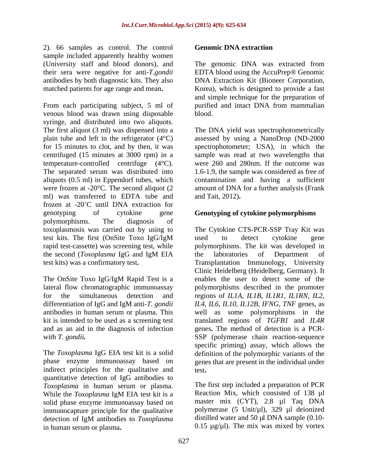2). 66 samples as control. The control sample included apparently healthy women (University staff and blood donors), and

From each participating subject, 5 ml of venous blood was drawn using disposable syringe, and distributed into two aliquots. The first aliquot (3 ml) was dispensed into a The DNA yield was spectrophotometrically plain tube and left in the refrigerator (4°C) assessed by using a NanoDrop (ND-2000 for 15 minutes to clot, and by then, it was spectrophotometer; USA), in which the centrifuged (15 minutes at 3000 rpm) in a sample was read at two wavelengths that temperature-controlled centrifuge (4°C). The separated serum was distributed into 1.6-1.9, the sample was considered as free of aliquots (0.5 ml) in Eppendorf tubes, which contamination and having a sufficient were frozen at -20<sup>o</sup>C. The second aliquot (2 amount of DNA for a further analysis (Frank ml) was transferred to EDTA tube and frozen at -20°C until DNA extraction for genotyping of cytokine gene **Genotyping of cytokine polymorphisms** polymorphisms. The diagnosis of rapid test-cassette) was screening test, while 2). Get samples as control. The control of Geomale DMA extraction<br>angular serum of Geomale included property beatly somen increases the same of the control of the control of the same of the same of the same of the same of

The OnSite Toxo IgG/IgM Rapid Test is a and as an aid in the diagnosis of infection

indirect principles for the qualitative and test. quantitative detection of IgG antibodies to *Toxoplasma* in human serum or plasma. While the *Toxoplasma* IgM EIA test kit is a **Reaction Mix**, which consisted of 138 µI solid phase enzyme immunoassay based on immunocapture principle for the qualitative detection of IgM antibodies to *Toxoplasma*

their sera were negative for anti-*T*.*gondii* EDTA blood using the AccuPrep® Genomic antibodies by both diagnostic kits. They also DNA Extraction Kit (Bioneer Corporation, matched patients for age range and mean. Korea), which is designed to provide a fast The genomic DNA was extracted from and simple technique for the preparation of purified and intact DNA from mammalian blood. The contract of the contract of the contract of the contract of the contract of the contract of the contract of the contract of the contract of the contract of the contract of the contract of the contract of the con

> were 260 and 280nm. If the outcome was and Tait, 2012)**.**

toxoplasmosis was carried out by using to The Cytokine CTS-PCR-SSP Tray Kit was test kits. The first (OnSite Toxo IgG/IgM the second (*Toxoplasma* IgG and IgM EIA test kits) was a confirmatory test**.** Transplantation Immunology, University lateral flow chromatographic immunoassay polymorphisms described in the promoter for the simultaneous detection and regions of *IL1A*, *IL1B*, *IL1R1*, *IL1RN*, *IL2*, differentiation of IgG and IgM anti-*T*. *gondii IL4*, *IL6*, *IL10*, *IL12B*, *IFNG*, *TNF* genes, as antibodies in human serum or plasma. This well as some polymorphisms in the kit is intended to be used as a screening test translated regions of *TGFB1* and *IL4R* with *T. gondii*. SSP (polymerase chain reaction-sequence The *Toxoplasma* IgG EIA test kit is a solid definition of the polymorphic variants of the phase enzyme immunoassay based on genes that are present in the individual under used to detect cytokine gene polymorphisms. The kit was developed in the laboratories of Department of Clinic Heidelberg (Heidelberg, Germany). It enables the user to detect some of the genes**.** The method of detection is a PCR specific priming) assay, which allows the test**.**

> The first step included a preparation of PCR Reaction Mix, which consisted of 138 µl master mix (CYT), 2.8 µl Taq DNA polymerase (5 Unit/µl), 329 µl deionized distilled water and 50 µl DNA sample  $(0.10$ -0.15  $\mu$ g/ $\mu$ l). The mix was mixed by vortex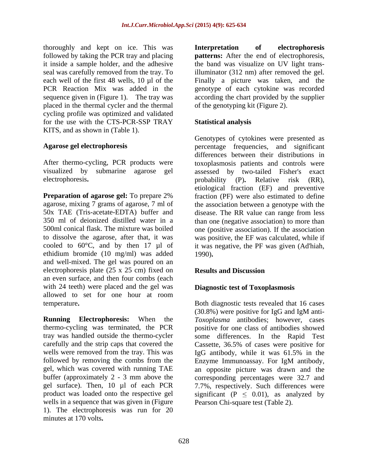thoroughly and kept on ice. This was **Interpretation** of electrophoresis followed by taking the PCR tray and placing **patterns:** After the end of electrophoresis, it inside a sample holder, and the adhesive the band was visualize on UV light transseal was carefully removed from the tray. To illuminator (312 nm) after removed the gel. each well of the first 48 wells, 10 µl of the Finally a picture was taken, and the PCR Reaction Mix was added in the genotype of each cytokine was recorded sequence given in (Figure 1).The tray was according the chart provided by the supplier placed in the thermal cycler and the thermal cycling profile was optimized and validated for the use with the CTS-PCR-SSP TRAY Statistical analysis KITS, and as shown in (Table 1).

electrophoresis. probability (P). Relative risk (RR),

**Preparation of agarose gel:** To prepare 2% fraction (PF) were also estimated to define agarose, mixing 7 grams of agarose, 7 ml of the association between a genotype with the 50x TAE (Tris-acetate-EDTA) buffer and disease. The RR value can range from less 350 ml of deionized distilled water in a than one (negative association) to more than 500ml conical flask. The mixture was boiled one (positive association). If the association to dissolve the agarose, after that, it was was positive, the EF was calculated, while if cooled to  $60^{\circ}$ C, and by then 17  $\mu$ l of it was negative, the PF was given (Ad'hiah, ethidium bromide (10 mg/ml) was added and well-mixed. The gel was poured on an electrophoresis plate (25 x 25 cm) fixed on **Results and Discussion** an even surface, and then four combs (each with 24 teeth) were placed and the gel was allowed to set for one hour at room temperature**.** Both diagnostic tests revealed that 16 cases

**Running Electrophoresis:** When the *Toxoplasma* antibodies; however, cases thermo-cycling was terminated, the PCR positive for one class of antibodies showed tray was handled outside the thermo-cycler some differences. In the Rapid Test carefully and the strip caps that covered the Cassette, 36.5% of cases were positive for wells were removed from the tray. This was IgG antibody, while it was 61.5% in the followed by removing the combs from the Enzyme Immunoassay. For IgM antibody, gel, which was covered with running TAE an opposite picture was drawn and the buffer (approximately 2 - 3 mm above the corresponding percentages were 32.7 and gel surface). Then, 10 µl of each PCR 7.7%, respectively. Such differences were product was loaded onto the respective gel significant ( $P \leq 0.01$ ), as analyzed by wells in a sequence that was given in (Figure 1). The electrophoresis was run for 20 minutes at 170 volts**.**

**Interpretation of electrophoresis patterns:** After the end of electrophoresis, the band was visualize on UV light transof the genotyping kit (Figure 2).

### **Statistical analysis**

Agarose gel electrophoresis **percentage** frequencies, and significant After thermo-cycling, PCR products were toxoplasmosis patients and controls were visualized by submarine agarose gel assessed by two-tailed Fisher's exact Genotypes of cytokines were presented as differences between their distributions in probability (P)**.** Relative risk (RR), etiological fraction (EF) and preventive 1990)**.**

#### **Results and Discussion**

#### **Diagnostic test of Toxoplasmosis**

(30.8%) were positive for IgG and IgM anti- IgG antibody, while it was 61.5% in the Enzyme Immunoassay. For IgM antibody, Pearson Chi-square test (Table 2).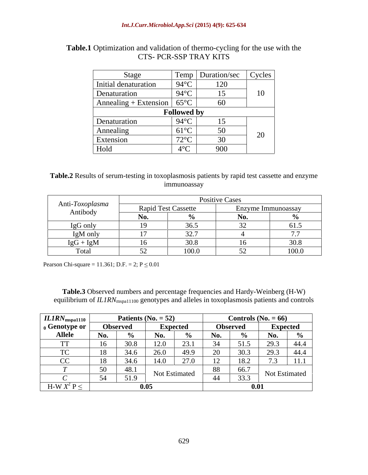| Stage                 |                         | <b>Temp</b> Duration/sec | Cycles       |  |  |  |
|-----------------------|-------------------------|--------------------------|--------------|--|--|--|
| Initial denaturation  | $94^{\circ}$ C          | 120                      |              |  |  |  |
| Denaturation          | $94^{\circ}$ C          |                          | $10^{\circ}$ |  |  |  |
| Annealing + Extension | $65^{\circ}$ C          | 60                       |              |  |  |  |
| <b>Followed by</b>    |                         |                          |              |  |  |  |
| Denaturation          | $94^{\circ}$ C          | I 5.<br>$\overline{1}$   |              |  |  |  |
| Annealing             | $61^{\circ}$ C          | 50                       | $\Omega$     |  |  |  |
| Extension             | 720C<br>14 <sub>2</sub> | 30                       | $\angle U$   |  |  |  |
| Hold                  | 10C                     | 900                      |              |  |  |  |

# **Table.1** Optimization and validation of thermo-cycling for the use with the CTS-PCR-SSP TRAY KITS CTS- PCR-SSP TRAY KITS

#### **Table.2** Results of serum-testing in toxoplasmosis patients by rapid test cassette and enzyme immunoassay

| Anti-Toxoplasma<br>Antibody | Positive Cases |       |                  |       |  |  |
|-----------------------------|----------------|-------|------------------|-------|--|--|
|                             | Fest Cassette  |       | Enzyme Immunoass |       |  |  |
|                             |                |       |                  |       |  |  |
| IgG only                    |                | 26F   |                  |       |  |  |
| IgM only                    |                | 227   |                  |       |  |  |
| $IgG + IgM$                 |                | 30.8  |                  |       |  |  |
|                             |                | 100.0 | EQ 5             | 100.0 |  |  |

Pearson Chi-square = 11.361; D.F. = 2;  $P \le 0.01$ 

**Table.3** Observed numbers and percentage frequencies and Hardy-Weinberg (H-W) equilibrium of *IL1RN*<sub>mspa11100</sub> genotypes and alleles in toxoplasmosis patients and controls

| ILIRN <sub>mspa1110</sub> | Patients ( $No. = 52$ ) |                     | Controls $(N_0, = 66)$ |                 |                 |
|---------------------------|-------------------------|---------------------|------------------------|-----------------|-----------------|
| <sub>0</sub> Genotype or  | <b>Observed</b>         | <b>Expected</b>     |                        | <b>Observed</b> | <b>Expected</b> |
| <b>Allele</b>             |                         |                     |                        |                 |                 |
|                           |                         |                     |                        |                 |                 |
|                           |                         |                     |                        |                 |                 |
|                           |                         |                     |                        |                 |                 |
|                           |                         |                     |                        |                 |                 |
|                           | 510<br>51               | Not Estimate        |                        |                 | Not Estimat     |
| H-W $X^2$ P $\leq$        |                         | $\Lambda$ $\Lambda$ |                        |                 | -001            |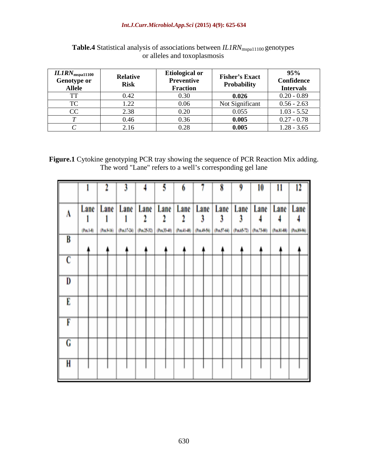#### *Int.J.Curr.Microbiol.App.Sci* **(2015) 4(9): 625-634**

| $ILIRN_{\rm mspa11100}$ | <b>Relative</b> | <b>Etiological or</b>   | <b>Fisher's Exact</b> | 95%                   |
|-------------------------|-----------------|-------------------------|-----------------------|-----------------------|
| Genotype or             |                 | Preven                  | Probability           | <b>Confidence</b>     |
| Allele                  | KISK            | Fractio                 |                       | <b>Intervals</b>      |
|                         |                 |                         | -0.0.                 | $0.20 - 0.89$         |
|                         | 1 າາ            |                         |                       | 0.56 - 2.63           |
|                         |                 |                         |                       | $\epsilon$ $\epsilon$ |
|                         | 0.46            |                         |                       | $0.27 - 0.78$         |
|                         | 2.16            | $\mathsf{v}.\mathsf{v}$ | 0.00.                 | $1.28 - 3.65$         |

Table.4 Statistical analysis of associations between *IL1RN*<sub>mspa11100</sub> genotypes or alleles and toxoplasmosis

**Figure.1** Cytokine genotyping PCR tray showing the sequence of PCR Reaction Mix adding. The word "Lane" refers to a well's corresponding gel lane

|   |                | 2                       | 3                | 4                             | 3         | 6                                    | ٩                        | 8                        | 9                      | 10                        | 11               | 12                             |
|---|----------------|-------------------------|------------------|-------------------------------|-----------|--------------------------------------|--------------------------|--------------------------|------------------------|---------------------------|------------------|--------------------------------|
| A | Lane<br>(Pack) | Lane<br>1<br>(Pos.4-16) | İ<br>(Pos.17-24) | Lane   Lane<br>2<br>(36.2532) | Lane<br>2 | Lane<br>2<br>(Pos.33-40) (Pos.41-48) | Lane<br>3<br>(Po. 89-56) | Lane<br>3<br>$(Fe57-64)$ | Lane<br>3<br>(Pa.6572) | Lane  <br>4<br>(Po.73-80) | 4<br>(Pos.81-88) | Lane Lane<br>4<br>(Pos. 19-96) |
| B |                |                         |                  |                               |           |                                      |                          |                          |                        |                           |                  |                                |
| C |                |                         |                  |                               |           |                                      |                          |                          |                        |                           |                  |                                |
| D |                |                         |                  |                               |           |                                      |                          |                          |                        |                           |                  |                                |
| Ë |                |                         |                  |                               |           |                                      |                          |                          |                        |                           |                  |                                |
| F |                |                         |                  |                               |           |                                      |                          |                          |                        |                           |                  |                                |
| Ġ |                |                         |                  |                               |           |                                      |                          |                          |                        |                           |                  |                                |
| Ĥ |                |                         |                  |                               |           |                                      |                          |                          |                        |                           |                  |                                |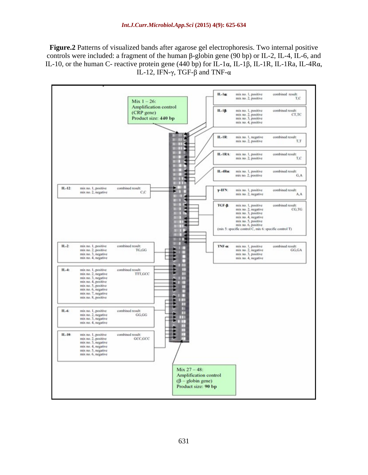**Figure.2** Patterns of visualized bands after agarose gel electrophoresis. Two internal positive controls were included: a fragment of the human  $\beta$ -globin gene (90 bp) or IL-2, IL-4, IL-6, and IL-10, or the human C- reactive protein gene (440 bp) for IL-1 $\alpha$ , IL-1 $\beta$ , IL-1R, IL-1Ra, IL-4R $\alpha$ , IL-12, IFN- $\gamma$ , TGF- $\beta$  and TNF- $\alpha$ 

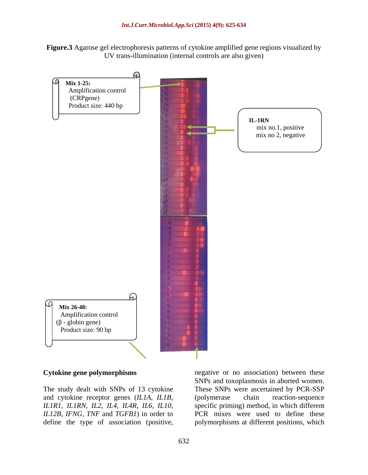



*IL1R1*, *IL1RN*, *IL2*, *IL4*, *IL4R*, *IL6*, *IL10*,

The study dealt with SNPs of 13 cytokine These SNPs were ascertained by PCR-SSP and cytokine receptor genes (*IL1A*, *IL1B*, (polymerase chain reaction-sequence *IL12B*, *IFNG*, *TNF* and *TGFB1*) in order to PCR mixes were used to define these **Cytokine gene polymorphisms** megative or no association) between these<br>
SNPs and toxoplasmosis in aborted women.<br>
These SNPs were ascertained by PCR-SSP<br>
and cytokine receptor genes (*LIA*, *ILIB*, (polymerase chain react SNPs and toxoplasmosis in aborted women. (polymerase chain reaction-sequence specific priming) method, in which different polymorphisms at different positions, which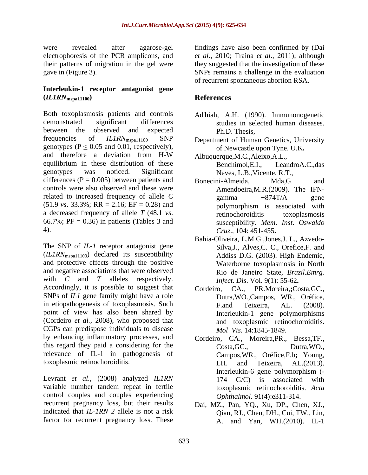were revealed after agarose-gel findings have also been confirmed by (Dai electrophoresis of the PCR amplicons, and *et al*., 2010; Traina *et al*., 2011); although their patterns of migration in the gel were gave in (Figure 3). SNPs remains a challenge in the evaluation

### **Interleukin-1 receptor antagonist gene (***IL1RN***mspa11100)**

Both toxoplasmosis patients and controls demonstrated significant differences studies in selected human diseases. between the observed and expected Ph.D. Thesis, frequencies of *ILIRN*<sub>mspa11100</sub> SNP Department of Human Genetics, University genotypes ( $P \le 0.05$  and 0.01, respectively), and therefore a deviation from H-W Albuquerque, M.C., Aleixo, A.L., equilibrium in these distribution of these Senchimol.E.I., genotypes was noticed. Significant Neves, L.B.,Vicente, R.T., differences  $(P = 0.005)$  between patients and Bonecini-Almeida, Mda,G. and controls were also observed and these were related to increased frequency of allele  $C$  gamma  $+874T/A$  gene  $(51.9 \text{ vs. } 33.3\%; \text{ RR} = 2.16; \text{ EF} = 0.28)$  and  $\overline{\text{polymorphism}}$  is associated with 4). *Cruz*., 104: 451-455**.**

The SNP of *IL-1* receptor antagonist gene (*IL1RN*mspa11100) declared its susceptibility and protective effects through the positive and negative associations that were observed with *C* and *T* alleles respectively. *Infect*, *Dis.* Vol. 9(1): 55-62. Accordingly, it is possible to suggest that Cordeiro, CA., SNPs of *IL1* gene family might have a role in etiopathogenesis of toxoplasmosis. Such F.and Teixeira. AL. (2008). point of view has also been shared by (Cordeiro *et al.*, 2008), who proposed that CGPs can predispose individuals to disease by enhancing inflammatory processes, and Cordeiro, CA., Moreira,PR., Bessa,TF., this regard they paid a considering for the Costa, GC., Dutra, WO., relevance of IL-1 in pathogenesis of

Levrant *et al.*, (2008) analyzed *IL1RN* 174 G/C) is associated with variable number tandem repeat in fertile control couples and couples experiencing recurrent pregnancy loss, but their results Dai, MZ., Pan, YQ., Xu, DP., Chen, XJ., indicated that *IL-1RN 2* allele is not a risk factor for recurrent pregnancy loss. These

they suggested that the investigation of these of recurrent spontaneous abortion RSA.

# **References**

- Ad'hiah, A.H. (1990). Immunonogenetic Ph.D. Thesis,
- of Newcastle upon Tyne. U.K**.**
- Albuquerque,M.C.,Aleixo,A.L., LeandroA.C.,das
- a decreased frequency of allele *T* (48.1 *vs*. Fretinochoroiditis toxoplasmosis to toxoplasmosis for the origin of the *T* (48.1 *vs*. Free 0.36) in patients (Tables 3 and susceptibility. *Mem. Inst. Oswaldo* Bonecini-Almeida, Mda,G. and Amendoeira,M.R.(2009). The IFN gamma  $+874T/A$  gene polymorphism is associated with retinochoroiditis toxoplasmosis susceptibility. *Mem*. *Inst*. *Oswaldo* 
	- Bahia-Oliveira, L.M.G.,Jones,J. L., Azvedo- Silva,J., Alves,C. C., Orefice,F. and Addiss D.G. (2003). High Endemic, Waterborne toxoplasmosis in North Rio de Janeiro State, *Brazil.Emrg. Infect. Dis*. Vol. 9(1): 55-62**.**
	- PR.Moreira, **;**Costa, GC., Dutra,WO.,Campos, WR., Oréfice, F.and Teixeira, AL. (2008). Interleukin-1 gene polymorphisms and toxoplasmic retinochoroiditis. *Mol Vis*. 14:1845-1849.
- toxoplasmic retinochoroiditis. LH. and Teixeira, AL.(2013). Costa,GC., Dutra,WO., Campos,WR., Oréfice,F.b**;** Young, LH. and Teixeira, AL.(2013). Interleukin-6 gene polymorphism (- 174 G/C) is associated with toxoplasmic retinochoroiditis. *Acta Ophthalmol.* 91(4):e311-314.
	- Qian, RJ., Chen, DH., Cui, TW., Lin, A. and Yan, WH.(2010). IL-1